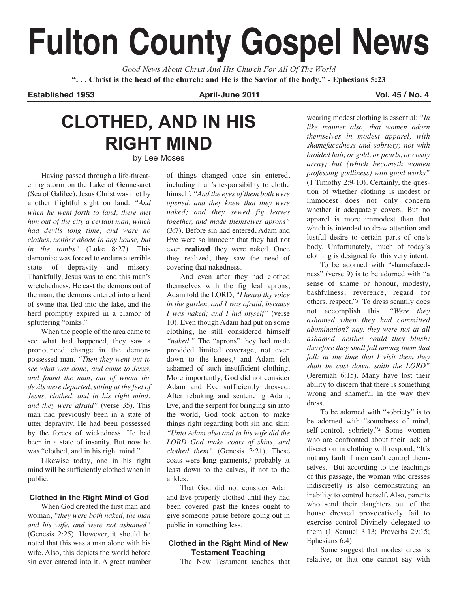# **Fulton County Gospel News**

*Good News About Christ And His Church For All Of The World* "... Christ is the head of the church: and He is the Savior of the body." - Ephesians 5:23

**Established 1953 April-June 2011 Vol. 45 / No. 4**

# **CLOTHED, AND IN HIS RIGHT MIND**

by Lee Moses

Having passed through a life-threatening storm on the Lake of Gennesaret (Sea of Galilee), Jesus Christ was met by another frightful sight on land: *"And when he went forth to land, there met him out of the city a certain man, which had devils long time, and ware no clothes, neither abode in any house, but in the tombs"* (Luke 8:27). This demoniac was forced to endure a terrible state of depravity and misery. Thankfully, Jesus was to end this man's wretchedness. He cast the demons out of the man, the demons entered into a herd of swine that fled into the lake, and the herd promptly expired in a clamor of spluttering "oinks."

When the people of the area came to see what had happened, they saw a pronounced change in the demonpossessed man. *"Then they went out to see what was done; and came to Jesus, and found the man, out of whom the devils were departed, sitting at the feet of Jesus, clothed, and in his right mind: and they were afraid"* (verse 35). This man had previously been in a state of utter depravity. He had been possessed by the forces of wickedness. He had been in a state of insanity. But now he was "clothed, and in his right mind."

Likewise today, one in his right mind will be sufficiently clothed when in public.

#### **Clothed in the Right Mind of God**

When God created the first man and woman, *"they were both naked, the man and his wife, and were not ashamed"* (Genesis 2:25). However, it should be noted that this was a man alone with his wife. Also, this depicts the world before sin ever entered into it. A great number of things changed once sin entered, including man's responsibility to clothe himself: *"And the eyes of them both were opened, and they knew that they were naked; and they sewed fig leaves together, and made themselves aprons"* (3:7). Before sin had entered, Adam and Eve were so innocent that they had not even **realized** they were naked. Once they realized, they saw the need of covering that nakedness.

And even after they had clothed themselves with the fig leaf aprons, Adam told the LORD, *"I heard thy voice in the garden, and I was afraid, because I was naked; and I hid myself"* (verse 10). Even though Adam had put on some clothing, he still considered himself "*naked.*" The "aprons" they had made provided limited coverage, not even down to the knees,1 and Adam felt ashamed of such insufficient clothing. More importantly, **God** did not consider Adam and Eve sufficiently dressed. After rebuking and sentencing Adam, Eve, and the serpent for bringing sin into the world, God took action to make things right regarding both sin and skin: *"Unto Adam also and to his wife did the LORD God make coats of skins, and clothed them"* (Genesis 3:21). These coats were **long** garments,2 probably at least down to the calves, if not to the ankles.

That God did not consider Adam and Eve properly clothed until they had been covered past the knees ought to give someone pause before going out in public in something less.

#### **Clothed in the Right Mind of New Testament Teaching**

The New Testament teaches that

wearing modest clothing is essential: *"In like manner also, that women adorn themselves in modest apparel, with shamefacedness and sobriety; not with broided hair, or gold, or pearls, or costly array; but (which becometh women professing godliness) with good works"* (1 Timothy 2:9-10). Certainly, the question of whether clothing is modest or immodest does not only concern whether it adequately covers. But no apparel is more immodest than that which is intended to draw attention and lustful desire to certain parts of one's body. Unfortunately, much of today's clothing is designed for this very intent.

To be adorned with "shamefacedness" (verse 9) is to be adorned with "a sense of shame or honour, modesty, bashfulness, reverence, regard for others, respect."3 To dress scantily does not accomplish this. *"Were they ashamed when they had committed abomination? nay, they were not at all ashamed, neither could they blush: therefore they shall fall among them that fall: at the time that I visit them they shall be cast down, saith the LORD"* (Jeremiah 6:15). Many have lost their ability to discern that there is something wrong and shameful in the way they dress.

To be adorned with "sobriety" is to be adorned with "soundness of mind, self-control, sobriety."4 Some women who are confronted about their lack of discretion in clothing will respond, "It's not **my** fault if men can't control themselves." But according to the teachings of this passage, the woman who dresses indiscreetly is also demonstrating an inability to control herself. Also, parents who send their daughters out of the house dressed provocatively fail to exercise control Divinely delegated to them (1 Samuel 3:13; Proverbs 29:15; Ephesians 6:4).

Some suggest that modest dress is relative, or that one cannot say with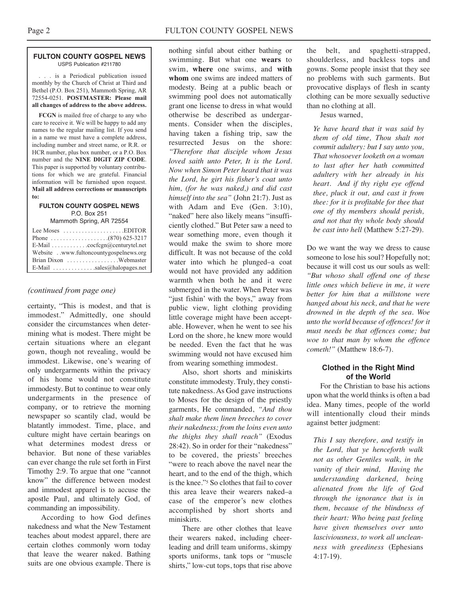#### **FULTON COUNTY GOSPEL NEWS** USPS Publication #211780

. . . is a Periodical publication issued monthly by the Church of Christ at Third and Bethel (P.O. Box 251), Mammoth Spring, AR 72554-0251. **POSTMASTER: Please mail all changes of address to the above address.**

**FCGN** is mailed free of charge to any who care to receive it. We will be happy to add any names to the regular mailing list. If you send in a name we must have a complete address, including number and street name, or R.R. or HCR number, plus box number, or a P.O. Box number and the **NINE DIGIT ZIP CODE**. This paper is supported by voluntary contributions for which we are grateful. Financial information will be furnished upon request. **Mail all address corrections or manuscripts to:**

#### **FULTON COUNTY GOSPEL NEWS** P.O. Box 251

Mammoth Spring, AR 72554

| Lee Moses $\dots\dots\dots\dots\dots\dots$ . EDITOR         |  |
|-------------------------------------------------------------|--|
|                                                             |  |
| E-Mail $\ldots \ldots \ldots \ldots$ cocfcgn@centurytel.net |  |
| Website . www.fultoncountygospelnews.org                    |  |
| Brian Dixon Webmaster                                       |  |
| E-Mail $\ldots$ sales@halopages.net                         |  |

#### *(continued from page one)*

certainty, "This is modest, and that is immodest." Admittedly, one should consider the circumstances when determining what is modest. There might be certain situations where an elegant gown, though not revealing, would be immodest. Likewise, one's wearing of only undergarments within the privacy of his home would not constitute immodesty. But to continue to wear only undergarments in the presence of company, or to retrieve the morning newspaper so scantily clad, would be blatantly immodest. Time, place, and culture might have certain bearings on what determines modest dress or behavior. But none of these variables can ever change the rule set forth in First Timothy 2:9. To argue that one "cannot know" the difference between modest and immodest apparel is to accuse the apostle Paul, and ultimately God, of commanding an impossibility.

According to how God defines nakedness and what the New Testament teaches about modest apparel, there are certain clothes commonly worn today that leave the wearer naked. Bathing suits are one obvious example. There is

nothing sinful about either bathing or swimming. But what one **wears** to swim, **where** one swims, and **with whom** one swims are indeed matters of modesty. Being at a public beach or swimming pool does not automatically grant one license to dress in what would otherwise be described as undergarments. Consider when the disciples, having taken a fishing trip, saw the resurrected Jesus on the shore: *"Therefore that disciple whom Jesus loved saith unto Peter, It is the Lord. Now when Simon Peter heard that it was the Lord, he girt his fisher's coat unto him, (for he was naked,) and did cast himself into the sea"* (John 21:7). Just as with Adam and Eve (Gen. 3:10), "naked" here also likely means "insufficiently clothed." But Peter saw a need to wear something more, even though it would make the swim to shore more difficult. It was not because of the cold water into which he plunged–a coat would not have provided any addition warmth when both he and it were submerged in the water. When Peter was "just fishin' with the boys," away from public view, light clothing providing little coverage might have been acceptable. However, when he went to see his Lord on the shore, he knew more would be needed. Even the fact that he was swimming would not have excused him from wearing something immodest.

Also, short shorts and miniskirts constitute immodesty. Truly, they constitute nakedness. As God gave instructions to Moses for the design of the priestly garments, He commanded, *"And thou shalt make them linen breeches to cover their nakedness; from the loins even unto the thighs they shall reach"* (Exodus 28:42). So in order for their "nakedness" to be covered, the priests' breeches "were to reach above the navel near the heart, and to the end of the thigh, which is the knee."5 So clothes that fail to cover this area leave their wearers naked–a case of the emperor's new clothes accomplished by short shorts and miniskirts.

There are other clothes that leave their wearers naked, including cheerleading and drill team uniforms, skimpy sports uniforms, tank tops or "muscle shirts," low-cut tops, tops that rise above

the belt, and spaghetti-strapped, shoulderless, and backless tops and gowns. Some people insist that they see no problems with such garments. But provocative displays of flesh in scanty clothing can be more sexually seductive than no clothing at all.

Jesus warned,

*Ye have heard that it was said by them of old time, Thou shalt not commit adultery: but I say unto you, That whosoever looketh on a woman to lust after her hath committed adultery with her already in his heart. And if thy right eye offend thee, pluck it out, and cast it from thee: for it is profitable for thee that one of thy members should perish, and not that thy whole body should be cast into hell* (Matthew 5:27-29).

Do we want the way we dress to cause someone to lose his soul? Hopefully not; because it will cost us our souls as well: *"But whoso shall offend one of these little ones which believe in me, it were better for him that a millstone were hanged about his neck, and that he were drowned in the depth of the sea. Woe unto the world because of offences! for it must needs be that offences come; but woe to that man by whom the offence cometh!"* (Matthew 18:6-7).

#### **Clothed in the Right Mind of the World**

For the Christian to base his actions upon what the world thinks is often a bad idea. Many times, people of the world will intentionally cloud their minds against better judgment:

*This I say therefore, and testify in the Lord, that ye henceforth walk not as other Gentiles walk, in the vanity of their mind, Having the understanding darkened, being alienated from the life of God through the ignorance that is in them, because of the blindness of their heart: Who being past feeling have given themselves over unto lasciviousness, to work all uncleanness with greediness* (Ephesians 4:17-19).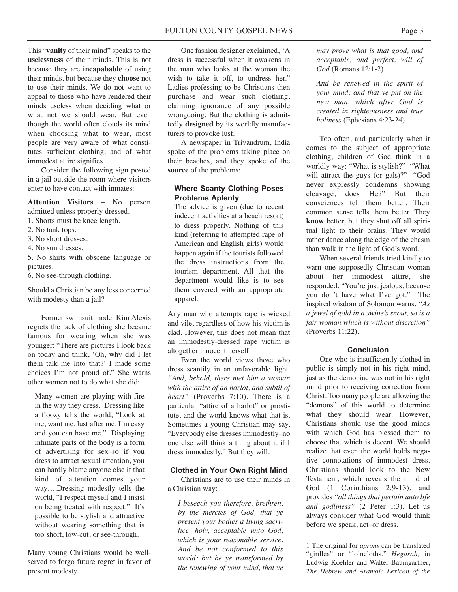This "**vanity** of their mind" speaks to the **uselessness** of their minds. This is not because they are **incapabable** of using their minds, but because they **choose** not to use their minds. We do not want to appeal to those who have rendered their minds useless when deciding what or what not we should wear. But even though the world often clouds its mind when choosing what to wear, most people are very aware of what constitutes sufficient clothing, and of what immodest attire signifies.

Consider the following sign posted in a jail outside the room where visitors enter to have contact with inmates:

**Attention Visitors** – No person admitted unless properly dressed.

- 1. Shorts must be knee length.
- 2. No tank tops.
- 3. No short dresses.
- 4. No sun dresses.
- 5. No shirts with obscene language or pictures.

6. No see-through clothing.

Should a Christian be any less concerned with modesty than a jail?

Former swimsuit model Kim Alexis regrets the lack of clothing she became famous for wearing when she was younger: "There are pictures I look back on today and think, 'Oh, why did I let them talk me into that?' I made some choices I'm not proud of." She warns other women not to do what she did:

Many women are playing with fire in the way they dress. Dressing like a floozy tells the world, "Look at me, want me, lust after me. I'm easy and you can have me." Displaying intimate parts of the body is a form of advertising for sex–so if you dress to attract sexual attention, you can hardly blame anyone else if that kind of attention comes your way….Dressing modestly tells the world, "I respect myself and I insist on being treated with respect." It's possible to be stylish and attractive without wearing something that is too short, low-cut, or see-through.

Many young Christians would be wellserved to forgo future regret in favor of present modesty.

One fashion designer exclaimed, "A dress is successful when it awakens in the man who looks at the woman the wish to take it off, to undress her." Ladies professing to be Christians then purchase and wear such clothing, claiming ignorance of any possible wrongdoing. But the clothing is admittedly **designed** by its worldly manufacturers to provoke lust.

A newspaper in Trivandrum, India spoke of the problems taking place on their beaches, and they spoke of the **source** of the problems:

#### **Where Scanty Clothing Poses Problems Aplenty**

The advice is given (due to recent indecent activities at a beach resort) to dress properly. Nothing of this kind (referring to attempted rape of American and English girls) would happen again if the tourists followed the dress instructions from the tourism department. All that the department would like is to see them covered with an appropriate apparel.

Any man who attempts rape is wicked and vile, regardless of how his victim is clad. However, this does not mean that an immodestly-dressed rape victim is altogether innocent herself.

Even the world views those who dress scantily in an unfavorable light. *"And, behold, there met him a woman with the attire of an harlot, and subtil of heart"* (Proverbs 7:10). There is a particular "attire of a harlot" or prostitute, and the world knows what that is. Sometimes a young Christian may say, "Everybody else dresses immodestly–no one else will think a thing about it if I dress immodestly." But they will.

#### **Clothed in Your Own Right Mind**

Christians are to use their minds in a Christian way:

*I beseech you therefore, brethren, by the mercies of God, that ye present your bodies a living sacrifice, holy, acceptable unto God, which is your reasonable service. And be not conformed to this world: but be ye transformed by the renewing of your mind, that ye*

*may prove what is that good, and acceptable, and perfect, will of God* (Romans 12:1-2).

*And be renewed in the spirit of your mind; and that ye put on the new man, which after God is created in righteousness and true holiness* (Ephesians 4:23-24).

Too often, and particularly when it comes to the subject of appropriate clothing, children of God think in a worldly way: "What is stylish?" "What will attract the guys (or gals)?" "God never expressly condemns showing cleavage, does He?" But their consciences tell them better. Their common sense tells them better. They **know** better, but they shut off all spiritual light to their brains. They would rather dance along the edge of the chasm than walk in the light of God's word.

When several friends tried kindly to warn one supposedly Christian woman about her immodest attire, she responded, "You're just jealous, because you don't have what I've got." The inspired wisdom of Solomon warns, *"As a jewel of gold in a swine's snout, so is a fair woman which is without discretion"* (Proverbs 11:22).

#### **Conclusion**

One who is insufficiently clothed in public is simply not in his right mind, just as the demoniac was not in his right mind prior to receiving correction from Christ. Too many people are allowing the "demons" of this world to determine what they should wear. However, Christians should use the good minds with which God has blessed them to choose that which is decent. We should realize that even the world holds negative connotations of immodest dress. Christians should look to the New Testament, which reveals the mind of God  $(1$  Corinthians 2:9-13), and provides *"all things that pertain unto life and godliness"* (2 Peter 1:3). Let us always consider what God would think before we speak, act–or dress.

1 The original for *aprons* can be translated "girdles" or "loincloths." *Hegorah,* in Ludwig Koehler and Walter Baumgartner, *The Hebrew and Aramaic Lexicon of the*